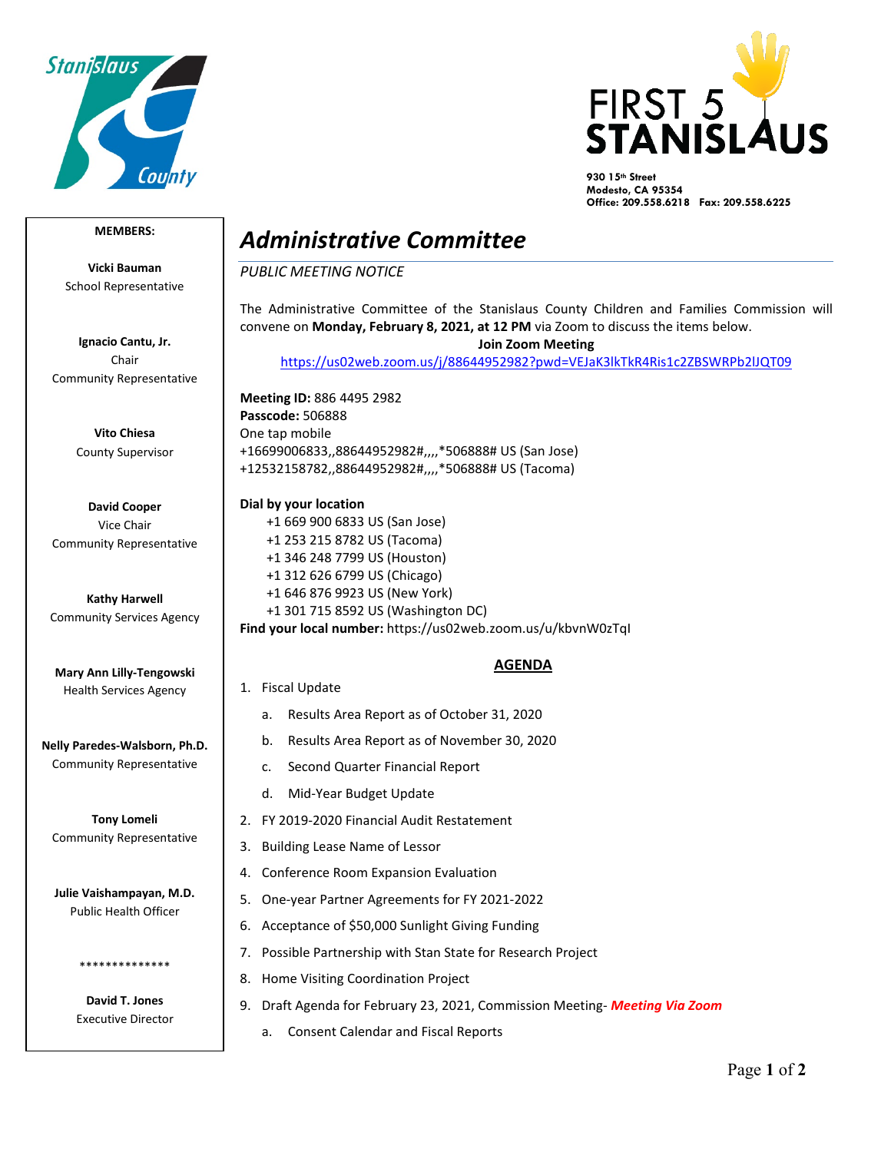



**930 15th Street Modesto, CA 95354 Office: 209.558.6218 Fax: 209.558.6225**

## **MEMBERS:**

**Vicki Bauman** School Representative

**Ignacio Cantu, Jr.** Chair Community Representative

> **Vito Chiesa** County Supervisor

**David Cooper** Vice Chair Community Representative

**Kathy Harwell** Community Services Agency

**Mary Ann Lilly-Tengowski** Health Services Agency

**Nelly Paredes-Walsborn, Ph.D.** Community Representative

**Tony Lomeli** Community Representative

**Julie Vaishampayan, M.D.** Public Health Officer

> **David T. Jones** Executive Director

\*\*\*\*\*\*\*\*\*\*\*\*\*\*

## *Administrative Committee*

*PUBLIC MEETING NOTICE*

The Administrative Committee of the Stanislaus County Children and Families Commission will convene on **Monday, February 8, 2021, at 12 PM** via Zoom to discuss the items below. **Join Zoom Meeting** 

<https://us02web.zoom.us/j/88644952982?pwd=VEJaK3lkTkR4Ris1c2ZBSWRPb2lJQT09>

**Meeting ID:** 886 4495 2982 **Passcode:** 506888 One tap mobile +16699006833,,88644952982#,,,,\*506888# US (San Jose) +12532158782,,88644952982#,,,,\*506888# US (Tacoma)

**Dial by your location** +1 669 900 6833 US (San Jose) +1 253 215 8782 US (Tacoma) +1 346 248 7799 US (Houston) +1 312 626 6799 US (Chicago) +1 646 876 9923 US (New York) +1 301 715 8592 US (Washington DC) **Find your local number:** https://us02web.zoom.us/u/kbvnW0zTqI

## **AGENDA**

- 1. Fiscal Update
	- a. Results Area Report as of October 31, 2020
	- b. Results Area Report as of November 30, 2020
	- c. Second Quarter Financial Report
	- d. Mid-Year Budget Update
- 2. FY 2019-2020 Financial Audit Restatement
- 3. Building Lease Name of Lessor
- 4. Conference Room Expansion Evaluation
- 5. One-year Partner Agreements for FY 2021-2022
- 6. Acceptance of \$50,000 Sunlight Giving Funding
- 7. Possible Partnership with Stan State for Research Project
- 8. Home Visiting Coordination Project
- 9. Draft Agenda for February 23, 2021, Commission Meeting- *Meeting Via Zoom*
	- a. Consent Calendar and Fiscal Reports